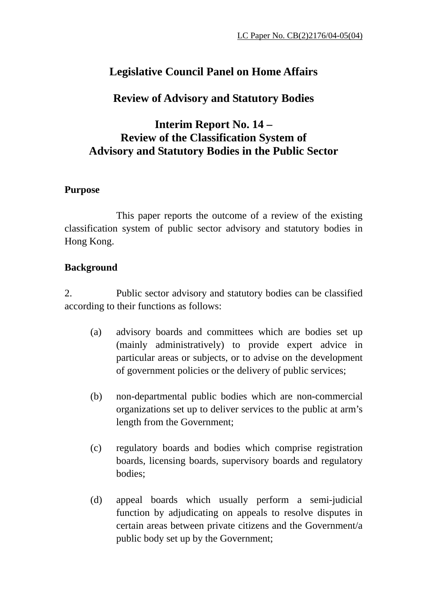## **Legislative Council Panel on Home Affairs**

## **Review of Advisory and Statutory Bodies**

## **Interim Report No. 14 – Review of the Classification System of Advisory and Statutory Bodies in the Public Sector**

### **Purpose**

 This paper reports the outcome of a review of the existing classification system of public sector advisory and statutory bodies in Hong Kong.

### **Background**

2. Public sector advisory and statutory bodies can be classified according to their functions as follows:

- (a) advisory boards and committees which are bodies set up (mainly administratively) to provide expert advice in particular areas or subjects, or to advise on the development of government policies or the delivery of public services;
- (b) non-departmental public bodies which are non-commercial organizations set up to deliver services to the public at arm's length from the Government;
- (c) regulatory boards and bodies which comprise registration boards, licensing boards, supervisory boards and regulatory bodies;
- (d) appeal boards which usually perform a semi-judicial function by adjudicating on appeals to resolve disputes in certain areas between private citizens and the Government/a public body set up by the Government;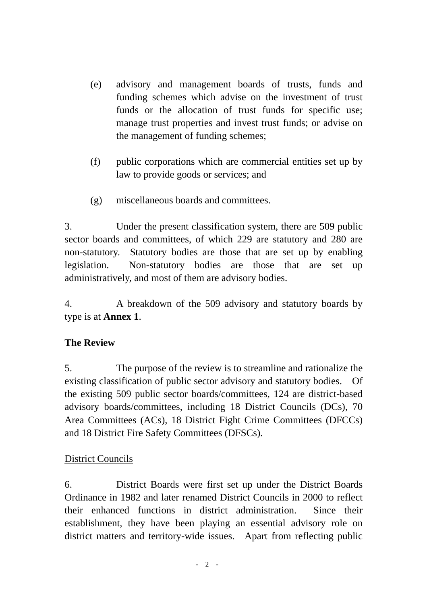- (e) advisory and management boards of trusts, funds and funding schemes which advise on the investment of trust funds or the allocation of trust funds for specific use; manage trust properties and invest trust funds; or advise on the management of funding schemes;
- (f) public corporations which are commercial entities set up by law to provide goods or services; and
- (g) miscellaneous boards and committees.

3. Under the present classification system, there are 509 public sector boards and committees, of which 229 are statutory and 280 are non-statutory. Statutory bodies are those that are set up by enabling legislation. Non-statutory bodies are those that are set up administratively, and most of them are advisory bodies.

4. A breakdown of the 509 advisory and statutory boards by type is at **Annex 1**.

### **The Review**

5. The purpose of the review is to streamline and rationalize the existing classification of public sector advisory and statutory bodies. Of the existing 509 public sector boards/committees, 124 are district-based advisory boards/committees, including 18 District Councils (DCs), 70 Area Committees (ACs), 18 District Fight Crime Committees (DFCCs) and 18 District Fire Safety Committees (DFSCs).

### District Councils

6. District Boards were first set up under the District Boards Ordinance in 1982 and later renamed District Councils in 2000 to reflect their enhanced functions in district administration. Since their establishment, they have been playing an essential advisory role on district matters and territory-wide issues. Apart from reflecting public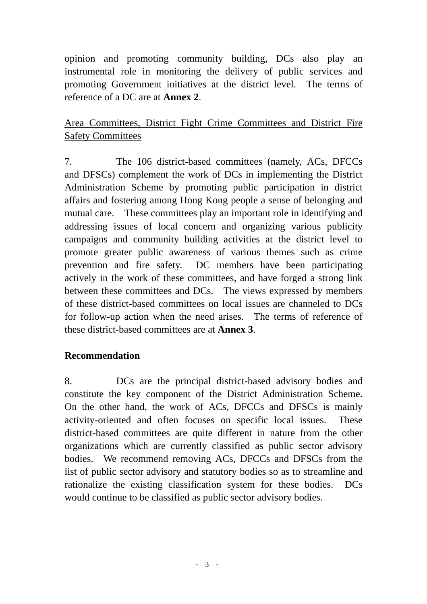opinion and promoting community building, DCs also play an instrumental role in monitoring the delivery of public services and promoting Government initiatives at the district level. The terms of reference of a DC are at **Annex 2**.

Area Committees, District Fight Crime Committees and District Fire Safety Committees

7. The 106 district-based committees (namely, ACs, DFCCs and DFSCs) complement the work of DCs in implementing the District Administration Scheme by promoting public participation in district affairs and fostering among Hong Kong people a sense of belonging and mutual care. These committees play an important role in identifying and addressing issues of local concern and organizing various publicity campaigns and community building activities at the district level to promote greater public awareness of various themes such as crime prevention and fire safety. DC members have been participating actively in the work of these committees, and have forged a strong link between these committees and DCs. The views expressed by members of these district-based committees on local issues are channeled to DCs for follow-up action when the need arises. The terms of reference of these district-based committees are at **Annex 3**.

#### **Recommendation**

8. DCs are the principal district-based advisory bodies and constitute the key component of the District Administration Scheme. On the other hand, the work of ACs, DFCCs and DFSCs is mainly activity-oriented and often focuses on specific local issues. These district-based committees are quite different in nature from the other organizations which are currently classified as public sector advisory bodies. We recommend removing ACs, DFCCs and DFSCs from the list of public sector advisory and statutory bodies so as to streamline and rationalize the existing classification system for these bodies. DCs would continue to be classified as public sector advisory bodies.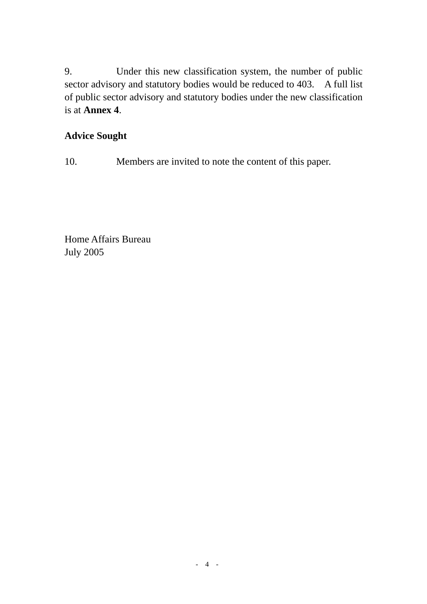9. Under this new classification system, the number of public sector advisory and statutory bodies would be reduced to 403. A full list of public sector advisory and statutory bodies under the new classification is at **Annex 4**.

### **Advice Sought**

10. Members are invited to note the content of this paper.

Home Affairs Bureau July 2005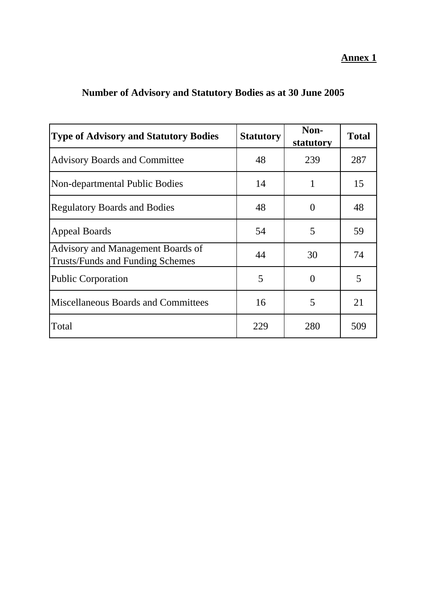| <b>Type of Advisory and Statutory Bodies</b>                                 | <b>Statutory</b> | Non-<br>statutory | <b>Total</b> |
|------------------------------------------------------------------------------|------------------|-------------------|--------------|
| <b>Advisory Boards and Committee</b>                                         | 48               | 239               | 287          |
| Non-departmental Public Bodies                                               | 14               | 1                 | 15           |
| <b>Regulatory Boards and Bodies</b>                                          | 48               | $\overline{0}$    | 48           |
| <b>Appeal Boards</b>                                                         | 54               | 5                 | 59           |
| Advisory and Management Boards of<br><b>Trusts/Funds and Funding Schemes</b> | 44               | 30                | 74           |
| Public Corporation                                                           | 5                | 0                 | 5            |
| <b>Miscellaneous Boards and Committees</b>                                   | 16               | 5                 | 21           |
| Total                                                                        | 229              | 280               | 509          |

# **Number of Advisory and Statutory Bodies as at 30 June 2005**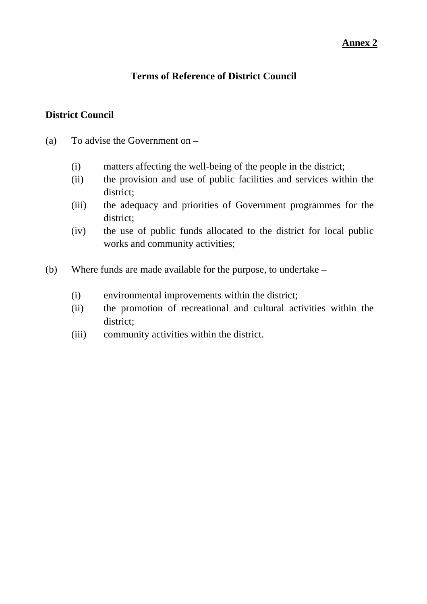#### **Terms of Reference of District Council**

#### **District Council**

- (a) To advise the Government on
	- (i) matters affecting the well-being of the people in the district;
	- (ii) the provision and use of public facilities and services within the district;
	- (iii) the adequacy and priorities of Government programmes for the district;
	- (iv) the use of public funds allocated to the district for local public works and community activities;
- (b) Where funds are made available for the purpose, to undertake
	- (i) environmental improvements within the district;
	- (ii) the promotion of recreational and cultural activities within the district;
	- (iii) community activities within the district.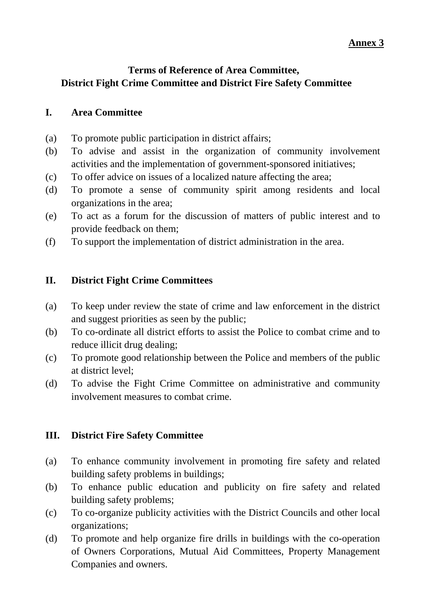### **Terms of Reference of Area Committee, District Fight Crime Committee and District Fire Safety Committee**

#### **I. Area Committee**

- (a) To promote public participation in district affairs;
- (b) To advise and assist in the organization of community involvement activities and the implementation of government-sponsored initiatives;
- (c) To offer advice on issues of a localized nature affecting the area;
- (d) To promote a sense of community spirit among residents and local organizations in the area;
- (e) To act as a forum for the discussion of matters of public interest and to provide feedback on them;
- (f) To support the implementation of district administration in the area.

#### **II. District Fight Crime Committees**

- (a) To keep under review the state of crime and law enforcement in the district and suggest priorities as seen by the public;
- (b) To co-ordinate all district efforts to assist the Police to combat crime and to reduce illicit drug dealing;
- (c) To promote good relationship between the Police and members of the public at district level;
- (d) To advise the Fight Crime Committee on administrative and community involvement measures to combat crime.

### **III. District Fire Safety Committee**

- (a) To enhance community involvement in promoting fire safety and related building safety problems in buildings;
- (b) To enhance public education and publicity on fire safety and related building safety problems;
- (c) To co-organize publicity activities with the District Councils and other local organizations;
- (d) To promote and help organize fire drills in buildings with the co-operation of Owners Corporations, Mutual Aid Committees, Property Management Companies and owners.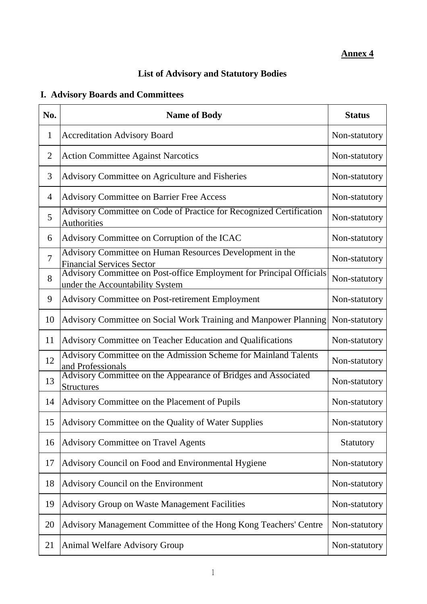## **List of Advisory and Statutory Bodies**

# **I. Advisory Boards and Committees**

| No.            | <b>Name of Body</b>                                                                                     | <b>Status</b> |
|----------------|---------------------------------------------------------------------------------------------------------|---------------|
| $\mathbf{1}$   | <b>Accreditation Advisory Board</b>                                                                     | Non-statutory |
| $\overline{2}$ | <b>Action Committee Against Narcotics</b>                                                               | Non-statutory |
| 3              | Advisory Committee on Agriculture and Fisheries                                                         | Non-statutory |
| $\overline{4}$ | <b>Advisory Committee on Barrier Free Access</b>                                                        | Non-statutory |
| 5              | Advisory Committee on Code of Practice for Recognized Certification<br>Authorities                      | Non-statutory |
| 6              | Advisory Committee on Corruption of the ICAC                                                            | Non-statutory |
| $\overline{7}$ | Advisory Committee on Human Resources Development in the<br><b>Financial Services Sector</b>            | Non-statutory |
| 8              | Advisory Committee on Post-office Employment for Principal Officials<br>under the Accountability System | Non-statutory |
| 9              | <b>Advisory Committee on Post-retirement Employment</b>                                                 | Non-statutory |
| 10             | Advisory Committee on Social Work Training and Manpower Planning                                        | Non-statutory |
| 11             | Advisory Committee on Teacher Education and Qualifications                                              | Non-statutory |
| 12             | Advisory Committee on the Admission Scheme for Mainland Talents<br>and Professionals                    | Non-statutory |
| 13             | Advisory Committee on the Appearance of Bridges and Associated<br><b>Structures</b>                     | Non-statutory |
| 14             | Advisory Committee on the Placement of Pupils                                                           | Non-statutory |
| 15             | Advisory Committee on the Quality of Water Supplies                                                     | Non-statutory |
| 16             | <b>Advisory Committee on Travel Agents</b>                                                              | Statutory     |
| 17             | Advisory Council on Food and Environmental Hygiene                                                      | Non-statutory |
| 18             | Advisory Council on the Environment                                                                     | Non-statutory |
| 19             | <b>Advisory Group on Waste Management Facilities</b>                                                    | Non-statutory |
| 20             | Advisory Management Committee of the Hong Kong Teachers' Centre                                         | Non-statutory |
| 21             | <b>Animal Welfare Advisory Group</b>                                                                    | Non-statutory |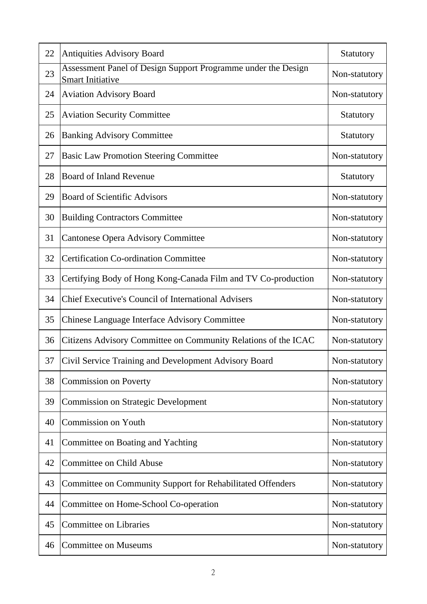| 22 | <b>Antiquities Advisory Board</b>                                                        | Statutory     |
|----|------------------------------------------------------------------------------------------|---------------|
| 23 | Assessment Panel of Design Support Programme under the Design<br><b>Smart Initiative</b> | Non-statutory |
| 24 | <b>Aviation Advisory Board</b>                                                           | Non-statutory |
| 25 | <b>Aviation Security Committee</b>                                                       | Statutory     |
| 26 | <b>Banking Advisory Committee</b>                                                        | Statutory     |
| 27 | <b>Basic Law Promotion Steering Committee</b>                                            | Non-statutory |
| 28 | <b>Board of Inland Revenue</b>                                                           | Statutory     |
| 29 | <b>Board of Scientific Advisors</b>                                                      | Non-statutory |
| 30 | <b>Building Contractors Committee</b>                                                    | Non-statutory |
| 31 | <b>Cantonese Opera Advisory Committee</b>                                                | Non-statutory |
| 32 | <b>Certification Co-ordination Committee</b>                                             | Non-statutory |
| 33 | Certifying Body of Hong Kong-Canada Film and TV Co-production                            | Non-statutory |
| 34 | <b>Chief Executive's Council of International Advisers</b>                               | Non-statutory |
| 35 | <b>Chinese Language Interface Advisory Committee</b>                                     | Non-statutory |
| 36 | Citizens Advisory Committee on Community Relations of the ICAC                           | Non-statutory |
| 37 | Civil Service Training and Development Advisory Board                                    | Non-statutory |
| 38 | <b>Commission on Poverty</b>                                                             | Non-statutory |
| 39 | <b>Commission on Strategic Development</b>                                               | Non-statutory |
| 40 | <b>Commission on Youth</b>                                                               | Non-statutory |
| 41 | Committee on Boating and Yachting                                                        | Non-statutory |
| 42 | <b>Committee on Child Abuse</b>                                                          | Non-statutory |
| 43 | Committee on Community Support for Rehabilitated Offenders                               | Non-statutory |
| 44 | Committee on Home-School Co-operation                                                    | Non-statutory |
| 45 | <b>Committee on Libraries</b>                                                            | Non-statutory |
| 46 | <b>Committee on Museums</b>                                                              | Non-statutory |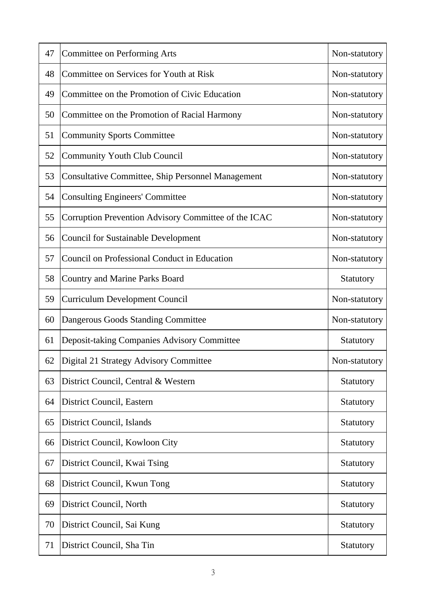| 47 | <b>Committee on Performing Arts</b>                  | Non-statutory |
|----|------------------------------------------------------|---------------|
| 48 | Committee on Services for Youth at Risk              | Non-statutory |
| 49 | Committee on the Promotion of Civic Education        | Non-statutory |
| 50 | Committee on the Promotion of Racial Harmony         | Non-statutory |
| 51 | <b>Community Sports Committee</b>                    | Non-statutory |
| 52 | <b>Community Youth Club Council</b>                  | Non-statutory |
| 53 | Consultative Committee, Ship Personnel Management    | Non-statutory |
| 54 | <b>Consulting Engineers' Committee</b>               | Non-statutory |
| 55 | Corruption Prevention Advisory Committee of the ICAC | Non-statutory |
| 56 | <b>Council for Sustainable Development</b>           | Non-statutory |
| 57 | Council on Professional Conduct in Education         | Non-statutory |
| 58 | <b>Country and Marine Parks Board</b>                | Statutory     |
| 59 | <b>Curriculum Development Council</b>                | Non-statutory |
| 60 | Dangerous Goods Standing Committee                   | Non-statutory |
| 61 | Deposit-taking Companies Advisory Committee          | Statutory     |
| 62 | Digital 21 Strategy Advisory Committee               | Non-statutory |
| 63 | District Council, Central & Western                  | Statutory     |
| 64 | District Council, Eastern                            | Statutory     |
| 65 | District Council, Islands                            | Statutory     |
| 66 | District Council, Kowloon City                       | Statutory     |
| 67 | District Council, Kwai Tsing                         | Statutory     |
| 68 | District Council, Kwun Tong                          | Statutory     |
| 69 | District Council, North                              | Statutory     |
| 70 | District Council, Sai Kung                           | Statutory     |
| 71 | District Council, Sha Tin                            | Statutory     |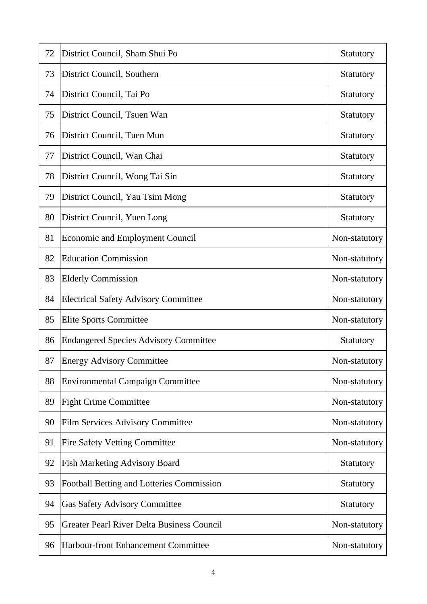| 72 | District Council, Sham Shui Po                    | Statutory     |
|----|---------------------------------------------------|---------------|
| 73 | District Council, Southern                        | Statutory     |
| 74 | District Council, Tai Po                          | Statutory     |
| 75 | District Council, Tsuen Wan                       | Statutory     |
| 76 | District Council, Tuen Mun                        | Statutory     |
| 77 | District Council, Wan Chai                        | Statutory     |
| 78 | District Council, Wong Tai Sin                    | Statutory     |
| 79 | District Council, Yau Tsim Mong                   | Statutory     |
| 80 | District Council, Yuen Long                       | Statutory     |
| 81 | <b>Economic and Employment Council</b>            | Non-statutory |
| 82 | <b>Education Commission</b>                       | Non-statutory |
| 83 | <b>Elderly Commission</b>                         | Non-statutory |
| 84 | <b>Electrical Safety Advisory Committee</b>       | Non-statutory |
| 85 | <b>Elite Sports Committee</b>                     | Non-statutory |
| 86 | <b>Endangered Species Advisory Committee</b>      | Statutory     |
| 87 | <b>Energy Advisory Committee</b>                  | Non-statutory |
| 88 | <b>Environmental Campaign Committee</b>           | Non-statutory |
| 89 | <b>Fight Crime Committee</b>                      | Non-statutory |
| 90 | Film Services Advisory Committee                  | Non-statutory |
| 91 | <b>Fire Safety Vetting Committee</b>              | Non-statutory |
| 92 | <b>Fish Marketing Advisory Board</b>              | Statutory     |
| 93 | Football Betting and Lotteries Commission         | Statutory     |
| 94 | <b>Gas Safety Advisory Committee</b>              | Statutory     |
| 95 | <b>Greater Pearl River Delta Business Council</b> | Non-statutory |
| 96 | Harbour-front Enhancement Committee               | Non-statutory |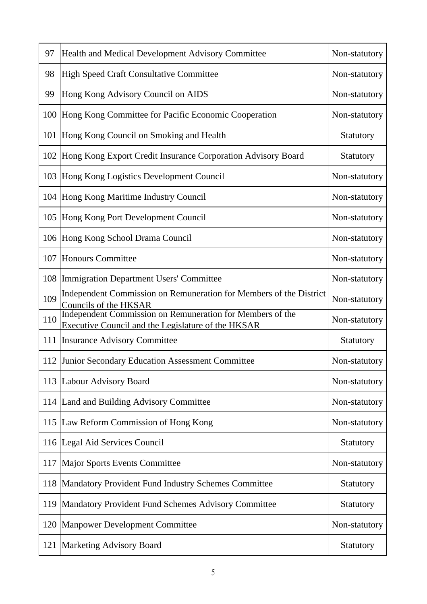| 97  | Health and Medical Development Advisory Committee                                                               | Non-statutory |
|-----|-----------------------------------------------------------------------------------------------------------------|---------------|
| 98  | <b>High Speed Craft Consultative Committee</b>                                                                  | Non-statutory |
| 99  | Hong Kong Advisory Council on AIDS                                                                              | Non-statutory |
| 100 | Hong Kong Committee for Pacific Economic Cooperation                                                            | Non-statutory |
| 101 | Hong Kong Council on Smoking and Health                                                                         | Statutory     |
| 102 | Hong Kong Export Credit Insurance Corporation Advisory Board                                                    | Statutory     |
| 103 | Hong Kong Logistics Development Council                                                                         | Non-statutory |
| 104 | Hong Kong Maritime Industry Council                                                                             | Non-statutory |
| 105 | Hong Kong Port Development Council                                                                              | Non-statutory |
| 106 | Hong Kong School Drama Council                                                                                  | Non-statutory |
| 107 | <b>Honours Committee</b>                                                                                        | Non-statutory |
| 108 | Immigration Department Users' Committee                                                                         | Non-statutory |
| 109 | Independent Commission on Remuneration for Members of the District<br>Councils of the HKSAR                     | Non-statutory |
| 110 | Independent Commission on Remuneration for Members of the<br>Executive Council and the Legislature of the HKSAR | Non-statutory |
| 111 | <b>Insurance Advisory Committee</b>                                                                             | Statutory     |
|     | 112 Junior Secondary Education Assessment Committee                                                             | Non-statutory |
| 113 | Labour Advisory Board                                                                                           | Non-statutory |
| 114 | Land and Building Advisory Committee                                                                            | Non-statutory |
| 115 | Law Reform Commission of Hong Kong                                                                              | Non-statutory |
|     | 116 Legal Aid Services Council                                                                                  | Statutory     |
| 117 | <b>Major Sports Events Committee</b>                                                                            | Non-statutory |
| 118 | Mandatory Provident Fund Industry Schemes Committee                                                             | Statutory     |
| 119 | Mandatory Provident Fund Schemes Advisory Committee                                                             | Statutory     |
| 120 | <b>Manpower Development Committee</b>                                                                           | Non-statutory |
| 121 | <b>Marketing Advisory Board</b>                                                                                 | Statutory     |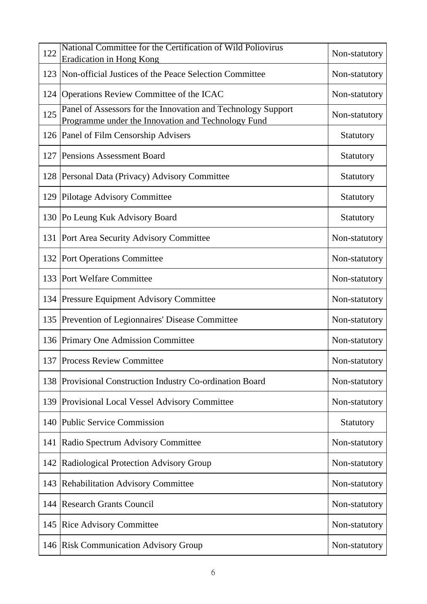| 122 | National Committee for the Certification of Wild Poliovirus<br><b>Eradication in Hong Kong</b>                     | Non-statutory |
|-----|--------------------------------------------------------------------------------------------------------------------|---------------|
| 123 | Non-official Justices of the Peace Selection Committee                                                             | Non-statutory |
|     | 124 Operations Review Committee of the ICAC                                                                        | Non-statutory |
| 125 | Panel of Assessors for the Innovation and Technology Support<br>Programme under the Innovation and Technology Fund | Non-statutory |
|     | 126 Panel of Film Censorship Advisers                                                                              | Statutory     |
| 127 | <b>Pensions Assessment Board</b>                                                                                   | Statutory     |
|     | 128   Personal Data (Privacy) Advisory Committee                                                                   | Statutory     |
| 129 | Pilotage Advisory Committee                                                                                        | Statutory     |
|     | 130 Po Leung Kuk Advisory Board                                                                                    | Statutory     |
| 131 | Port Area Security Advisory Committee                                                                              | Non-statutory |
| 132 | Port Operations Committee                                                                                          | Non-statutory |
| 133 | <b>Port Welfare Committee</b>                                                                                      | Non-statutory |
|     | 134 Pressure Equipment Advisory Committee                                                                          | Non-statutory |
| 135 | Prevention of Legionnaires' Disease Committee                                                                      | Non-statutory |
|     | 136 Primary One Admission Committee                                                                                | Non-statutory |
|     | 137 Process Review Committee                                                                                       | Non-statutory |
|     | 138 Provisional Construction Industry Co-ordination Board                                                          | Non-statutory |
| 139 | <b>Provisional Local Vessel Advisory Committee</b>                                                                 | Non-statutory |
| 140 | <b>Public Service Commission</b>                                                                                   | Statutory     |
| 141 | Radio Spectrum Advisory Committee                                                                                  | Non-statutory |
| 142 | Radiological Protection Advisory Group                                                                             | Non-statutory |
| 143 | <b>Rehabilitation Advisory Committee</b>                                                                           | Non-statutory |
| 144 | <b>Research Grants Council</b>                                                                                     | Non-statutory |
| 145 | <b>Rice Advisory Committee</b>                                                                                     | Non-statutory |
| 146 | <b>Risk Communication Advisory Group</b>                                                                           | Non-statutory |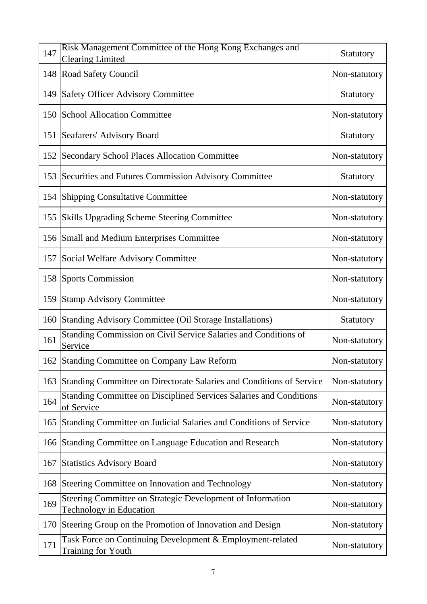| 147 | Risk Management Committee of the Hong Kong Exchanges and<br><b>Clearing Limited</b>          | Statutory     |
|-----|----------------------------------------------------------------------------------------------|---------------|
| 148 | Road Safety Council                                                                          | Non-statutory |
| 149 | <b>Safety Officer Advisory Committee</b>                                                     | Statutory     |
| 150 | School Allocation Committee                                                                  | Non-statutory |
| 151 | Seafarers' Advisory Board                                                                    | Statutory     |
| 152 | <b>Secondary School Places Allocation Committee</b>                                          | Non-statutory |
| 153 | Securities and Futures Commission Advisory Committee                                         | Statutory     |
| 154 | <b>Shipping Consultative Committee</b>                                                       | Non-statutory |
| 155 | <b>Skills Upgrading Scheme Steering Committee</b>                                            | Non-statutory |
| 156 | Small and Medium Enterprises Committee                                                       | Non-statutory |
| 157 | Social Welfare Advisory Committee                                                            | Non-statutory |
| 158 | <b>Sports Commission</b>                                                                     | Non-statutory |
| 159 | <b>Stamp Advisory Committee</b>                                                              | Non-statutory |
| 160 | Standing Advisory Committee (Oil Storage Installations)                                      | Statutory     |
| 161 | Standing Commission on Civil Service Salaries and Conditions of<br>Service                   | Non-statutory |
|     | 162 Standing Committee on Company Law Reform                                                 | Non-statutory |
| 163 | Standing Committee on Directorate Salaries and Conditions of Service                         | Non-statutory |
| 164 | Standing Committee on Disciplined Services Salaries and Conditions<br>of Service             | Non-statutory |
| 165 | Standing Committee on Judicial Salaries and Conditions of Service                            | Non-statutory |
| 166 | Standing Committee on Language Education and Research                                        | Non-statutory |
| 167 | <b>Statistics Advisory Board</b>                                                             | Non-statutory |
| 168 | Steering Committee on Innovation and Technology                                              | Non-statutory |
| 169 | Steering Committee on Strategic Development of Information<br><b>Technology in Education</b> | Non-statutory |
| 170 | Steering Group on the Promotion of Innovation and Design                                     | Non-statutory |
| 171 | Task Force on Continuing Development & Employment-related<br>Training for Youth              | Non-statutory |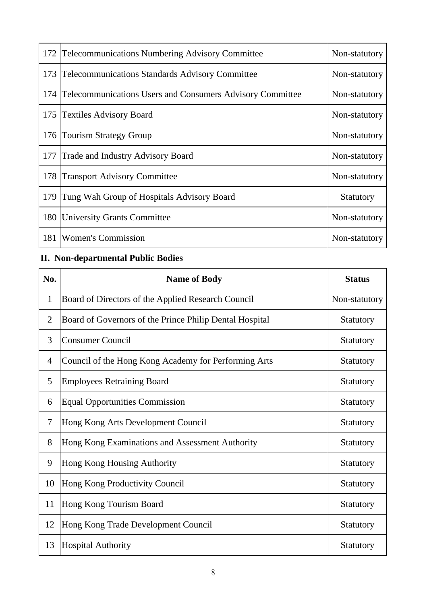|     | 172 Telecommunications Numbering Advisory Committee              | Non-statutory |
|-----|------------------------------------------------------------------|---------------|
| 173 | <b>Telecommunications Standards Advisory Committee</b>           | Non-statutory |
| 174 | <b>Telecommunications Users and Consumers Advisory Committee</b> | Non-statutory |
| 175 | <b>Textiles Advisory Board</b>                                   | Non-statutory |
| 176 | <b>Tourism Strategy Group</b>                                    | Non-statutory |
| 177 | <b>Trade and Industry Advisory Board</b>                         | Non-statutory |
| 178 | <b>Transport Advisory Committee</b>                              | Non-statutory |
| 179 | Tung Wah Group of Hospitals Advisory Board                       | Statutory     |
| 180 | University Grants Committee                                      | Non-statutory |
| 181 | <b>Women's Commission</b>                                        | Non-statutory |

# **II. Non-departmental Public Bodies**

| No.            | <b>Name of Body</b>                                     | <b>Status</b> |
|----------------|---------------------------------------------------------|---------------|
| 1              | Board of Directors of the Applied Research Council      | Non-statutory |
| $\overline{2}$ | Board of Governors of the Prince Philip Dental Hospital | Statutory     |
| 3              | <b>Consumer Council</b>                                 | Statutory     |
| $\overline{4}$ | Council of the Hong Kong Academy for Performing Arts    | Statutory     |
| 5              | <b>Employees Retraining Board</b>                       | Statutory     |
| 6              | <b>Equal Opportunities Commission</b>                   | Statutory     |
| 7              | Hong Kong Arts Development Council                      | Statutory     |
| 8              | Hong Kong Examinations and Assessment Authority         | Statutory     |
| 9              | Hong Kong Housing Authority                             | Statutory     |
| 10             | Hong Kong Productivity Council                          | Statutory     |
| 11             | Hong Kong Tourism Board                                 | Statutory     |
| 12             | Hong Kong Trade Development Council                     | Statutory     |
| 13             | <b>Hospital Authority</b>                               | Statutory     |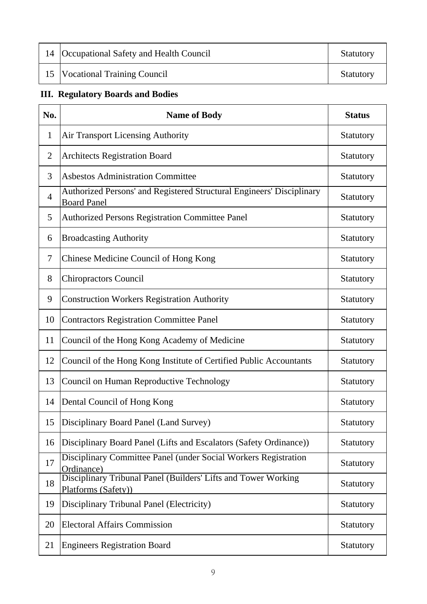| 14 Occupational Safety and Health Council | <b>Statutory</b> |
|-------------------------------------------|------------------|
| 15   Vocational Training Council          | <b>Statutory</b> |

# **III. Regulatory Boards and Bodies**

| No.            | <b>Name of Body</b>                                                                         | <b>Status</b>    |
|----------------|---------------------------------------------------------------------------------------------|------------------|
| 1              | <b>Air Transport Licensing Authority</b>                                                    | Statutory        |
| $\mathbf{2}$   | <b>Architects Registration Board</b>                                                        | Statutory        |
| 3              | <b>Asbestos Administration Committee</b>                                                    | Statutory        |
| $\overline{4}$ | Authorized Persons' and Registered Structural Engineers' Disciplinary<br><b>Board Panel</b> | Statutory        |
| 5              | <b>Authorized Persons Registration Committee Panel</b>                                      | Statutory        |
| 6              | <b>Broadcasting Authority</b>                                                               | <b>Statutory</b> |
| 7              | Chinese Medicine Council of Hong Kong                                                       | Statutory        |
| 8              | <b>Chiropractors Council</b>                                                                | Statutory        |
| 9              | <b>Construction Workers Registration Authority</b>                                          | Statutory        |
| 10             | <b>Contractors Registration Committee Panel</b>                                             | Statutory        |
| 11             | Council of the Hong Kong Academy of Medicine                                                | Statutory        |
| 12             | Council of the Hong Kong Institute of Certified Public Accountants                          | Statutory        |
| 13             | <b>Council on Human Reproductive Technology</b>                                             | Statutory        |
| 14             | Dental Council of Hong Kong                                                                 | Statutory        |
| 15             | Disciplinary Board Panel (Land Survey)                                                      | Statutory        |
| 16             | Disciplinary Board Panel (Lifts and Escalators (Safety Ordinance))                          | Statutory        |
| 17             | Disciplinary Committee Panel (under Social Workers Registration<br>Ordinance)               | Statutory        |
| 18             | Disciplinary Tribunal Panel (Builders' Lifts and Tower Working<br>Platforms (Safety))       | Statutory        |
| 19             | Disciplinary Tribunal Panel (Electricity)                                                   | Statutory        |
| 20             | <b>Electoral Affairs Commission</b>                                                         | Statutory        |
| 21             | <b>Engineers Registration Board</b>                                                         | Statutory        |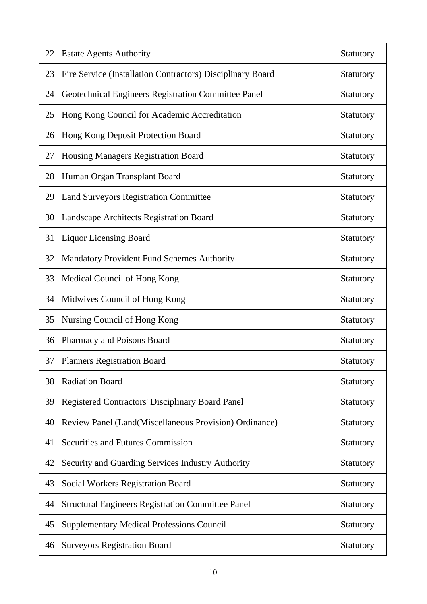| 22 | <b>Estate Agents Authority</b>                             | Statutory |
|----|------------------------------------------------------------|-----------|
| 23 | Fire Service (Installation Contractors) Disciplinary Board | Statutory |
| 24 | Geotechnical Engineers Registration Committee Panel        | Statutory |
| 25 | Hong Kong Council for Academic Accreditation               | Statutory |
| 26 | Hong Kong Deposit Protection Board                         | Statutory |
| 27 | Housing Managers Registration Board                        | Statutory |
| 28 | Human Organ Transplant Board                               | Statutory |
| 29 | <b>Land Surveyors Registration Committee</b>               | Statutory |
| 30 | Landscape Architects Registration Board                    | Statutory |
| 31 | <b>Liquor Licensing Board</b>                              | Statutory |
| 32 | Mandatory Provident Fund Schemes Authority                 | Statutory |
| 33 | Medical Council of Hong Kong                               | Statutory |
| 34 | Midwives Council of Hong Kong                              | Statutory |
| 35 | Nursing Council of Hong Kong                               | Statutory |
| 36 | Pharmacy and Poisons Board                                 | Statutory |
| 37 | <b>Planners Registration Board</b>                         | Statutory |
| 38 | <b>Radiation Board</b>                                     | Statutory |
| 39 | <b>Registered Contractors' Disciplinary Board Panel</b>    | Statutory |
| 40 | Review Panel (Land(Miscellaneous Provision) Ordinance)     | Statutory |
| 41 | <b>Securities and Futures Commission</b>                   | Statutory |
| 42 | Security and Guarding Services Industry Authority          | Statutory |
| 43 | Social Workers Registration Board                          | Statutory |
| 44 | <b>Structural Engineers Registration Committee Panel</b>   | Statutory |
| 45 | <b>Supplementary Medical Professions Council</b>           | Statutory |
| 46 | <b>Surveyors Registration Board</b>                        | Statutory |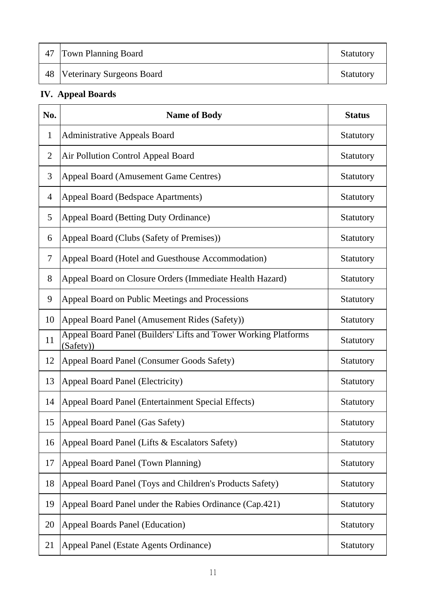| 47 Town Planning Board       | <b>Statutory</b> |
|------------------------------|------------------|
| 48 Veterinary Surgeons Board | <b>Statutory</b> |

# **IV. Appeal Boards**

| No.            | <b>Name of Body</b>                                                          | <b>Status</b> |
|----------------|------------------------------------------------------------------------------|---------------|
| $\mathbf{1}$   | <b>Administrative Appeals Board</b>                                          | Statutory     |
| $\mathbf{2}$   | Air Pollution Control Appeal Board                                           | Statutory     |
| 3              | <b>Appeal Board (Amusement Game Centres)</b>                                 | Statutory     |
| $\overline{4}$ | Appeal Board (Bedspace Apartments)                                           | Statutory     |
| 5              | Appeal Board (Betting Duty Ordinance)                                        | Statutory     |
| 6              | Appeal Board (Clubs (Safety of Premises))                                    | Statutory     |
| 7              | Appeal Board (Hotel and Guesthouse Accommodation)                            | Statutory     |
| 8              | Appeal Board on Closure Orders (Immediate Health Hazard)                     | Statutory     |
| 9              | Appeal Board on Public Meetings and Processions                              | Statutory     |
| 10             | Appeal Board Panel (Amusement Rides (Safety))                                | Statutory     |
| 11             | Appeal Board Panel (Builders' Lifts and Tower Working Platforms<br>(Safety)) | Statutory     |
| 12             | Appeal Board Panel (Consumer Goods Safety)                                   | Statutory     |
| 13             | Appeal Board Panel (Electricity)                                             | Statutory     |
| 14             | Appeal Board Panel (Entertainment Special Effects)                           | Statutory     |
| 15             | Appeal Board Panel (Gas Safety)                                              | Statutory     |
| 16             | Appeal Board Panel (Lifts & Escalators Safety)                               | Statutory     |
| 17             | Appeal Board Panel (Town Planning)                                           | Statutory     |
| 18             | Appeal Board Panel (Toys and Children's Products Safety)                     | Statutory     |
| 19             | Appeal Board Panel under the Rabies Ordinance (Cap.421)                      | Statutory     |
| 20             | <b>Appeal Boards Panel (Education)</b>                                       | Statutory     |
| 21             | Appeal Panel (Estate Agents Ordinance)                                       | Statutory     |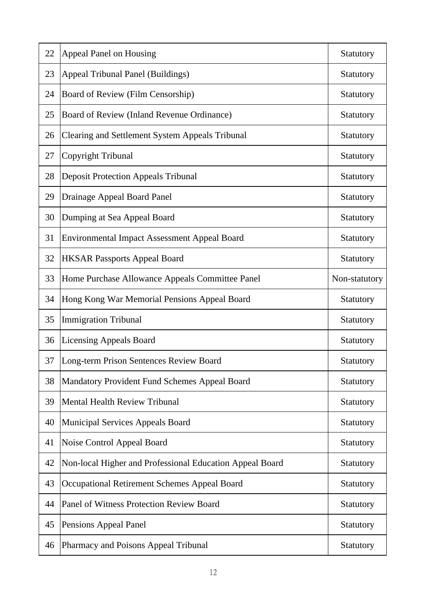| 22 | <b>Appeal Panel on Housing</b>                           | Statutory        |
|----|----------------------------------------------------------|------------------|
| 23 | <b>Appeal Tribunal Panel (Buildings)</b>                 | Statutory        |
| 24 | Board of Review (Film Censorship)                        | Statutory        |
| 25 | Board of Review (Inland Revenue Ordinance)               | Statutory        |
| 26 | <b>Clearing and Settlement System Appeals Tribunal</b>   | Statutory        |
| 27 | Copyright Tribunal                                       | Statutory        |
| 28 | <b>Deposit Protection Appeals Tribunal</b>               | Statutory        |
| 29 | <b>Drainage Appeal Board Panel</b>                       | Statutory        |
| 30 | Dumping at Sea Appeal Board                              | Statutory        |
| 31 | <b>Environmental Impact Assessment Appeal Board</b>      | Statutory        |
| 32 | <b>HKSAR Passports Appeal Board</b>                      | Statutory        |
| 33 | Home Purchase Allowance Appeals Committee Panel          | Non-statutory    |
| 34 | Hong Kong War Memorial Pensions Appeal Board             | Statutory        |
| 35 | <b>Immigration Tribunal</b>                              | Statutory        |
| 36 | <b>Licensing Appeals Board</b>                           | Statutory        |
| 37 | Long-term Prison Sentences Review Board                  | Statutory        |
| 38 | Mandatory Provident Fund Schemes Appeal Board            | Statutory        |
| 39 | <b>Mental Health Review Tribunal</b>                     | Statutory        |
| 40 | Municipal Services Appeals Board                         | Statutory        |
| 41 | Noise Control Appeal Board                               | Statutory        |
| 42 | Non-local Higher and Professional Education Appeal Board | Statutory        |
| 43 | Occupational Retirement Schemes Appeal Board             | Statutory        |
| 44 | Panel of Witness Protection Review Board                 | Statutory        |
| 45 | Pensions Appeal Panel                                    | <b>Statutory</b> |
| 46 | Pharmacy and Poisons Appeal Tribunal                     | Statutory        |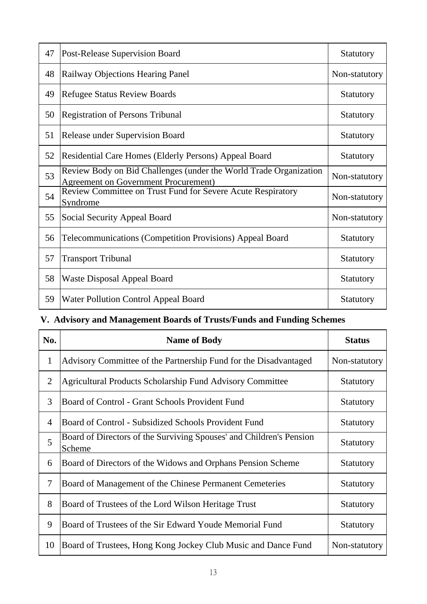| 47 | <b>Post-Release Supervision Board</b>                                                                            | <b>Statutory</b> |
|----|------------------------------------------------------------------------------------------------------------------|------------------|
| 48 | Railway Objections Hearing Panel                                                                                 | Non-statutory    |
| 49 | <b>Refugee Status Review Boards</b>                                                                              | Statutory        |
| 50 | <b>Registration of Persons Tribunal</b>                                                                          | <b>Statutory</b> |
| 51 | <b>Release under Supervision Board</b>                                                                           | Statutory        |
| 52 | Residential Care Homes (Elderly Persons) Appeal Board                                                            | Statutory        |
| 53 | Review Body on Bid Challenges (under the World Trade Organization<br><b>Agreement on Government Procurement)</b> | Non-statutory    |
| 54 | Review Committee on Trust Fund for Severe Acute Respiratory<br>Syndrome                                          | Non-statutory    |
| 55 | Social Security Appeal Board                                                                                     | Non-statutory    |
| 56 | <b>Telecommunications (Competition Provisions) Appeal Board</b>                                                  | <b>Statutory</b> |
| 57 | <b>Transport Tribunal</b>                                                                                        | <b>Statutory</b> |
| 58 | <b>Waste Disposal Appeal Board</b>                                                                               | <b>Statutory</b> |
| 59 | <b>Water Pollution Control Appeal Board</b>                                                                      | <b>Statutory</b> |

# **V. Advisory and Management Boards of Trusts/Funds and Funding Schemes**

| No.            | <b>Name of Body</b>                                                           | <b>Status</b>    |
|----------------|-------------------------------------------------------------------------------|------------------|
| $\mathbf{1}$   | Advisory Committee of the Partnership Fund for the Disadvantaged              | Non-statutory    |
| 2              | <b>Agricultural Products Scholarship Fund Advisory Committee</b>              | <b>Statutory</b> |
| 3              | Board of Control - Grant Schools Provident Fund                               | <b>Statutory</b> |
| $\overline{4}$ | Board of Control - Subsidized Schools Provident Fund                          | <b>Statutory</b> |
| 5              | Board of Directors of the Surviving Spouses' and Children's Pension<br>Scheme | <b>Statutory</b> |
| 6              | Board of Directors of the Widows and Orphans Pension Scheme                   | <b>Statutory</b> |
| $\tau$         | Board of Management of the Chinese Permanent Cemeteries                       | <b>Statutory</b> |
| 8              | Board of Trustees of the Lord Wilson Heritage Trust                           | <b>Statutory</b> |
| 9              | Board of Trustees of the Sir Edward Youde Memorial Fund                       | <b>Statutory</b> |
| 10             | Board of Trustees, Hong Kong Jockey Club Music and Dance Fund                 | Non-statutory    |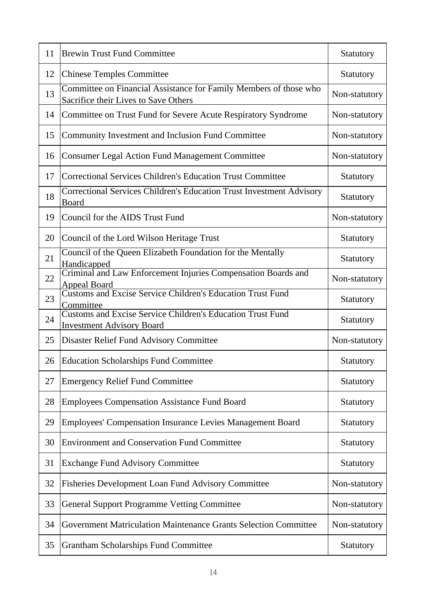| 11 | <b>Brewin Trust Fund Committee</b>                                                                        | Statutory     |
|----|-----------------------------------------------------------------------------------------------------------|---------------|
| 12 | <b>Chinese Temples Committee</b>                                                                          | Statutory     |
| 13 | Committee on Financial Assistance for Family Members of those who<br>Sacrifice their Lives to Save Others | Non-statutory |
| 14 | Committee on Trust Fund for Severe Acute Respiratory Syndrome                                             | Non-statutory |
| 15 | Community Investment and Inclusion Fund Committee                                                         | Non-statutory |
| 16 | <b>Consumer Legal Action Fund Management Committee</b>                                                    | Non-statutory |
| 17 | Correctional Services Children's Education Trust Committee                                                | Statutory     |
| 18 | Correctional Services Children's Education Trust Investment Advisory<br><b>Board</b>                      | Statutory     |
| 19 | Council for the AIDS Trust Fund                                                                           | Non-statutory |
| 20 | Council of the Lord Wilson Heritage Trust                                                                 | Statutory     |
| 21 | Council of the Queen Elizabeth Foundation for the Mentally<br>Handicapped                                 | Statutory     |
| 22 | Criminal and Law Enforcement Injuries Compensation Boards and<br><b>Appeal Board</b>                      | Non-statutory |
| 23 | <b>Customs and Excise Service Children's Education Trust Fund</b><br>Committee                            | Statutory     |
| 24 | <b>Customs and Excise Service Children's Education Trust Fund</b><br><b>Investment Advisory Board</b>     | Statutory     |
| 25 | <b>Disaster Relief Fund Advisory Committee</b>                                                            | Non-statutory |
| 26 | <b>Education Scholarships Fund Committee</b>                                                              | Statutory     |
| 27 | <b>Emergency Relief Fund Committee</b>                                                                    | Statutory     |
| 28 | <b>Employees Compensation Assistance Fund Board</b>                                                       | Statutory     |
| 29 | Employees' Compensation Insurance Levies Management Board                                                 | Statutory     |
| 30 | <b>Environment and Conservation Fund Committee</b>                                                        | Statutory     |
| 31 | <b>Exchange Fund Advisory Committee</b>                                                                   | Statutory     |
| 32 | <b>Fisheries Development Loan Fund Advisory Committee</b>                                                 | Non-statutory |
| 33 | <b>General Support Programme Vetting Committee</b>                                                        | Non-statutory |
| 34 | Government Matriculation Maintenance Grants Selection Committee                                           | Non-statutory |
| 35 | <b>Grantham Scholarships Fund Committee</b>                                                               | Statutory     |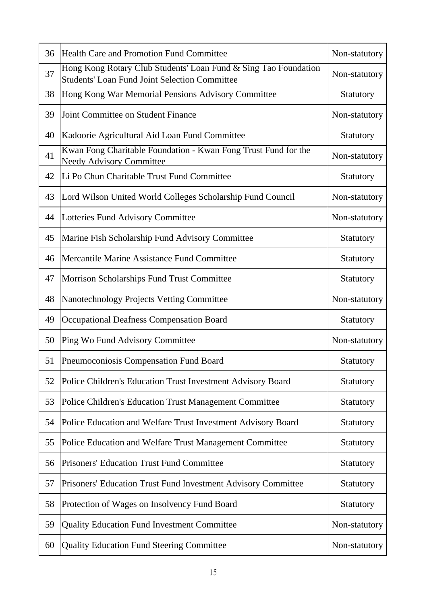| 36 | <b>Health Care and Promotion Fund Committee</b>                                                                         | Non-statutory |
|----|-------------------------------------------------------------------------------------------------------------------------|---------------|
| 37 | Hong Kong Rotary Club Students' Loan Fund & Sing Tao Foundation<br><b>Students' Loan Fund Joint Selection Committee</b> | Non-statutory |
| 38 | Hong Kong War Memorial Pensions Advisory Committee                                                                      | Statutory     |
| 39 | Joint Committee on Student Finance                                                                                      | Non-statutory |
| 40 | Kadoorie Agricultural Aid Loan Fund Committee                                                                           | Statutory     |
| 41 | Kwan Fong Charitable Foundation - Kwan Fong Trust Fund for the<br><b>Needy Advisory Committee</b>                       | Non-statutory |
| 42 | Li Po Chun Charitable Trust Fund Committee                                                                              | Statutory     |
| 43 | Lord Wilson United World Colleges Scholarship Fund Council                                                              | Non-statutory |
| 44 | Lotteries Fund Advisory Committee                                                                                       | Non-statutory |
| 45 | Marine Fish Scholarship Fund Advisory Committee                                                                         | Statutory     |
| 46 | Mercantile Marine Assistance Fund Committee                                                                             | Statutory     |
| 47 | <b>Morrison Scholarships Fund Trust Committee</b>                                                                       | Statutory     |
| 48 | Nanotechnology Projects Vetting Committee                                                                               | Non-statutory |
| 49 | <b>Occupational Deafness Compensation Board</b>                                                                         | Statutory     |
| 50 | Ping Wo Fund Advisory Committee                                                                                         | Non-statutory |
| 51 | Pneumoconiosis Compensation Fund Board                                                                                  | Statutory     |
| 52 | Police Children's Education Trust Investment Advisory Board                                                             | Statutory     |
| 53 | Police Children's Education Trust Management Committee                                                                  | Statutory     |
| 54 | Police Education and Welfare Trust Investment Advisory Board                                                            | Statutory     |
| 55 | Police Education and Welfare Trust Management Committee                                                                 | Statutory     |
| 56 | Prisoners' Education Trust Fund Committee                                                                               | Statutory     |
| 57 | Prisoners' Education Trust Fund Investment Advisory Committee                                                           | Statutory     |
| 58 | Protection of Wages on Insolvency Fund Board                                                                            | Statutory     |
| 59 | <b>Quality Education Fund Investment Committee</b>                                                                      | Non-statutory |
| 60 | <b>Quality Education Fund Steering Committee</b>                                                                        | Non-statutory |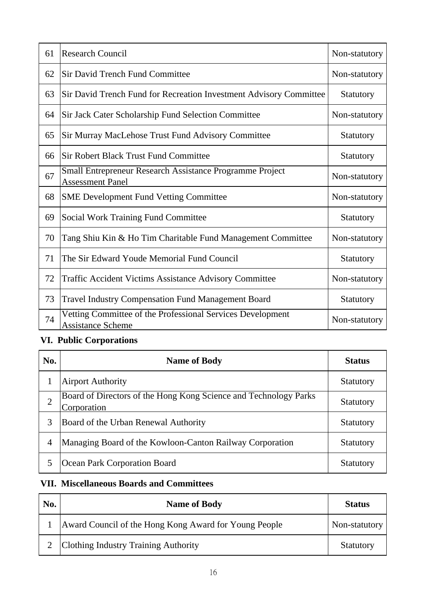| 61 | <b>Research Council</b>                                                                    | Non-statutory |
|----|--------------------------------------------------------------------------------------------|---------------|
| 62 | <b>Sir David Trench Fund Committee</b>                                                     | Non-statutory |
| 63 | Sir David Trench Fund for Recreation Investment Advisory Committee                         | Statutory     |
| 64 | <b>Sir Jack Cater Scholarship Fund Selection Committee</b>                                 | Non-statutory |
| 65 | Sir Murray MacLehose Trust Fund Advisory Committee                                         | Statutory     |
| 66 | <b>Sir Robert Black Trust Fund Committee</b>                                               | Statutory     |
| 67 | <b>Small Entrepreneur Research Assistance Programme Project</b><br><b>Assessment Panel</b> | Non-statutory |
| 68 | <b>SME Development Fund Vetting Committee</b>                                              | Non-statutory |
| 69 | <b>Social Work Training Fund Committee</b>                                                 | Statutory     |
| 70 | Tang Shiu Kin & Ho Tim Charitable Fund Management Committee                                | Non-statutory |
| 71 | The Sir Edward Youde Memorial Fund Council                                                 | Statutory     |
| 72 | <b>Traffic Accident Victims Assistance Advisory Committee</b>                              | Non-statutory |
| 73 | <b>Travel Industry Compensation Fund Management Board</b>                                  | Statutory     |
| 74 | Vetting Committee of the Professional Services Development<br><b>Assistance Scheme</b>     | Non-statutory |

## **VI. Public Corporations**

| No.            | <b>Name of Body</b>                                                             | <b>Status</b>    |
|----------------|---------------------------------------------------------------------------------|------------------|
|                | <b>Airport Authority</b>                                                        | Statutory        |
| $\overline{2}$ | Board of Directors of the Hong Kong Science and Technology Parks<br>Corporation | Statutory        |
| 3              | Board of the Urban Renewal Authority                                            | <b>Statutory</b> |
| $\overline{4}$ | Managing Board of the Kowloon-Canton Railway Corporation                        | Statutory        |
| 5              | Ocean Park Corporation Board                                                    | <b>Statutory</b> |

### **VII. Miscellaneous Boards and Committees**

| No. | <b>Name of Body</b>                                   | <b>Status</b>    |
|-----|-------------------------------------------------------|------------------|
|     | Award Council of the Hong Kong Award for Young People | Non-statutory    |
|     | Clothing Industry Training Authority                  | <b>Statutory</b> |